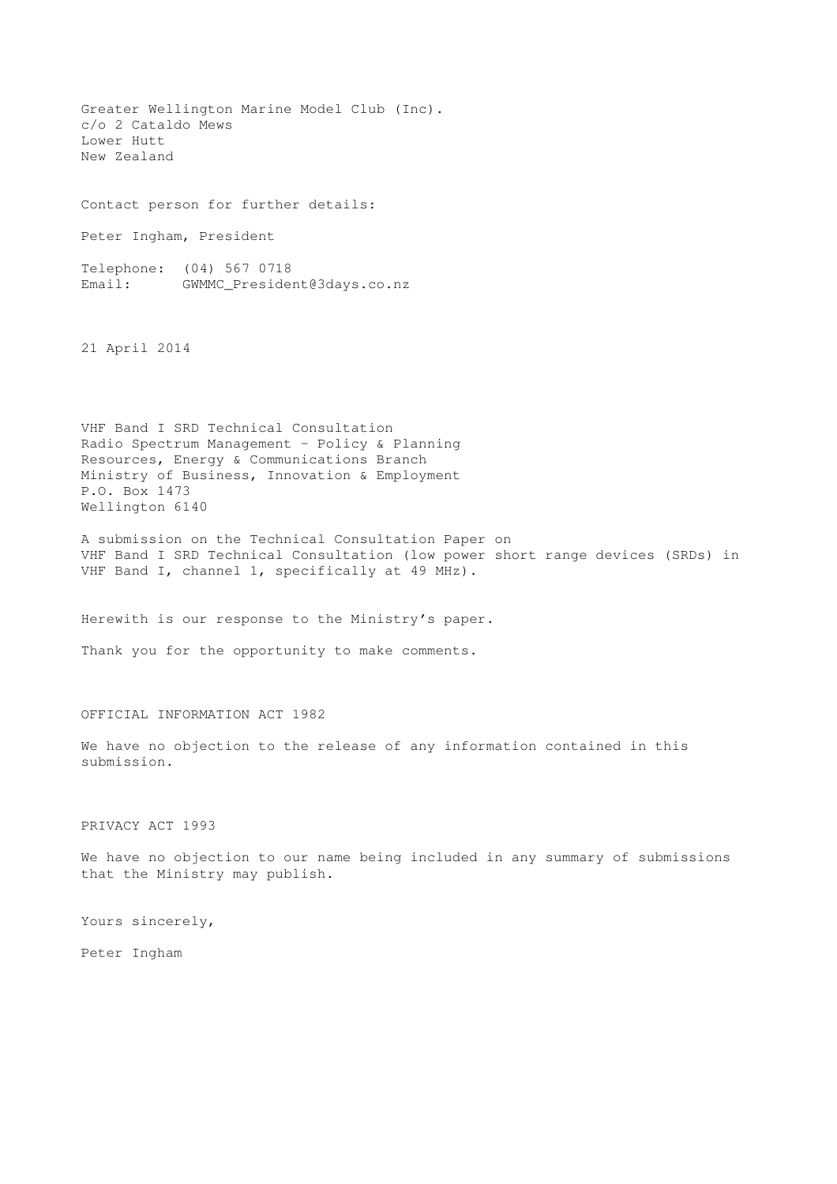Greater Wellington Marine Model Club (Inc). c/o 2 Cataldo Mews Lower Hutt New Zealand

Contact person for further details:

Peter Ingham, President

Telephone: (04) 567 0718 Email: GWMMC\_President@3days.co.nz

21 April 2014

VHF Band I SRD Technical Consultation Radio Spectrum Management – Policy & Planning Resources, Energy & Communications Branch Ministry of Business, Innovation & Employment P.O. Box 1473 Wellington 6140

A submission on the Technical Consultation Paper on VHF Band I SRD Technical Consultation (low power short range devices (SRDs) in VHF Band I, channel 1, specifically at 49 MHz).

Herewith is our response to the Ministry's paper.

Thank you for the opportunity to make comments.

## OFFICIAL INFORMATION ACT 1982

We have no objection to the release of any information contained in this submission.

PRIVACY ACT 1993

We have no objection to our name being included in any summary of submissions that the Ministry may publish.

Yours sincerely,

Peter Ingham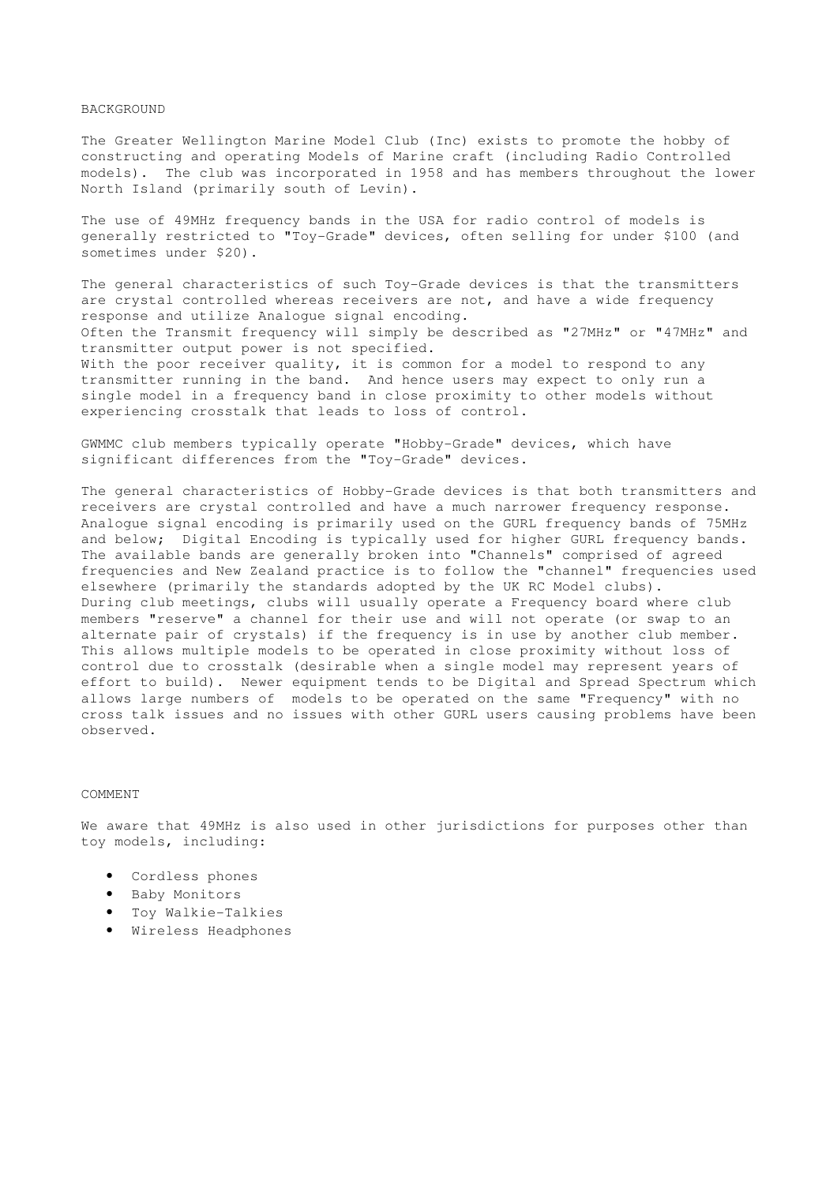## BACKGROUND

The Greater Wellington Marine Model Club (Inc) exists to promote the hobby of constructing and operating Models of Marine craft (including Radio Controlled models). The club was incorporated in 1958 and has members throughout the lower North Island (primarily south of Levin).

The use of 49MHz frequency bands in the USA for radio control of models is generally restricted to "Toy-Grade" devices, often selling for under \$100 (and sometimes under \$20).

The general characteristics of such Toy-Grade devices is that the transmitters are crystal controlled whereas receivers are not, and have a wide frequency response and utilize Analogue signal encoding. Often the Transmit frequency will simply be described as "27MHz" or "47MHz" and transmitter output power is not specified. With the poor receiver quality, it is common for a model to respond to any transmitter running in the band. And hence users may expect to only run a single model in a frequency band in close proximity to other models without experiencing crosstalk that leads to loss of control.

GWMMC club members typically operate "Hobby-Grade" devices, which have significant differences from the "Toy-Grade" devices.

The general characteristics of Hobby-Grade devices is that both transmitters and receivers are crystal controlled and have a much narrower frequency response. Analogue signal encoding is primarily used on the GURL frequency bands of 75MHz and below; Digital Encoding is typically used for higher GURL frequency bands. The available bands are generally broken into "Channels" comprised of agreed frequencies and New Zealand practice is to follow the "channel" frequencies used elsewhere (primarily the standards adopted by the UK RC Model clubs). During club meetings, clubs will usually operate a Frequency board where club members "reserve" a channel for their use and will not operate (or swap to an alternate pair of crystals) if the frequency is in use by another club member. This allows multiple models to be operated in close proximity without loss of control due to crosstalk (desirable when a single model may represent years of effort to build). Newer equipment tends to be Digital and Spread Spectrum which allows large numbers of models to be operated on the same "Frequency" with no cross talk issues and no issues with other GURL users causing problems have been observed.

## COMMENT

We aware that 49MHz is also used in other jurisdictions for purposes other than toy models, including:

- Cordless phones
- Baby Monitors
- Toy Walkie-Talkies
- Wireless Headphones